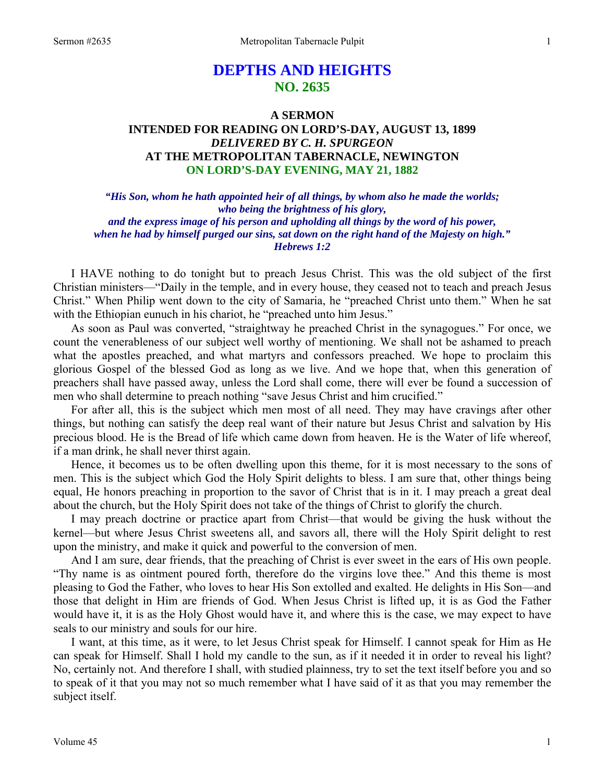# **DEPTHS AND HEIGHTS NO. 2635**

# **A SERMON INTENDED FOR READING ON LORD'S-DAY, AUGUST 13, 1899**  *DELIVERED BY C. H. SPURGEON*  **AT THE METROPOLITAN TABERNACLE, NEWINGTON ON LORD'S-DAY EVENING, MAY 21, 1882**

*"His Son, whom he hath appointed heir of all things, by whom also he made the worlds; who being the brightness of his glory, and the express image of his person and upholding all things by the word of his power, when he had by himself purged our sins, sat down on the right hand of the Majesty on high." Hebrews 1:2* 

I HAVE nothing to do tonight but to preach Jesus Christ. This was the old subject of the first Christian ministers—"Daily in the temple, and in every house, they ceased not to teach and preach Jesus Christ." When Philip went down to the city of Samaria, he "preached Christ unto them." When he sat with the Ethiopian eunuch in his chariot, he "preached unto him Jesus."

 As soon as Paul was converted, "straightway he preached Christ in the synagogues." For once, we count the venerableness of our subject well worthy of mentioning. We shall not be ashamed to preach what the apostles preached, and what martyrs and confessors preached. We hope to proclaim this glorious Gospel of the blessed God as long as we live. And we hope that, when this generation of preachers shall have passed away, unless the Lord shall come, there will ever be found a succession of men who shall determine to preach nothing "save Jesus Christ and him crucified."

 For after all, this is the subject which men most of all need. They may have cravings after other things, but nothing can satisfy the deep real want of their nature but Jesus Christ and salvation by His precious blood. He is the Bread of life which came down from heaven. He is the Water of life whereof, if a man drink, he shall never thirst again.

 Hence, it becomes us to be often dwelling upon this theme, for it is most necessary to the sons of men. This is the subject which God the Holy Spirit delights to bless. I am sure that, other things being equal, He honors preaching in proportion to the savor of Christ that is in it. I may preach a great deal about the church, but the Holy Spirit does not take of the things of Christ to glorify the church.

 I may preach doctrine or practice apart from Christ—that would be giving the husk without the kernel—but where Jesus Christ sweetens all, and savors all, there will the Holy Spirit delight to rest upon the ministry, and make it quick and powerful to the conversion of men.

 And I am sure, dear friends, that the preaching of Christ is ever sweet in the ears of His own people. "Thy name is as ointment poured forth, therefore do the virgins love thee." And this theme is most pleasing to God the Father, who loves to hear His Son extolled and exalted. He delights in His Son—and those that delight in Him are friends of God. When Jesus Christ is lifted up, it is as God the Father would have it, it is as the Holy Ghost would have it, and where this is the case, we may expect to have seals to our ministry and souls for our hire.

 I want, at this time, as it were, to let Jesus Christ speak for Himself. I cannot speak for Him as He can speak for Himself. Shall I hold my candle to the sun, as if it needed it in order to reveal his light? No, certainly not. And therefore I shall, with studied plainness, try to set the text itself before you and so to speak of it that you may not so much remember what I have said of it as that you may remember the subject itself.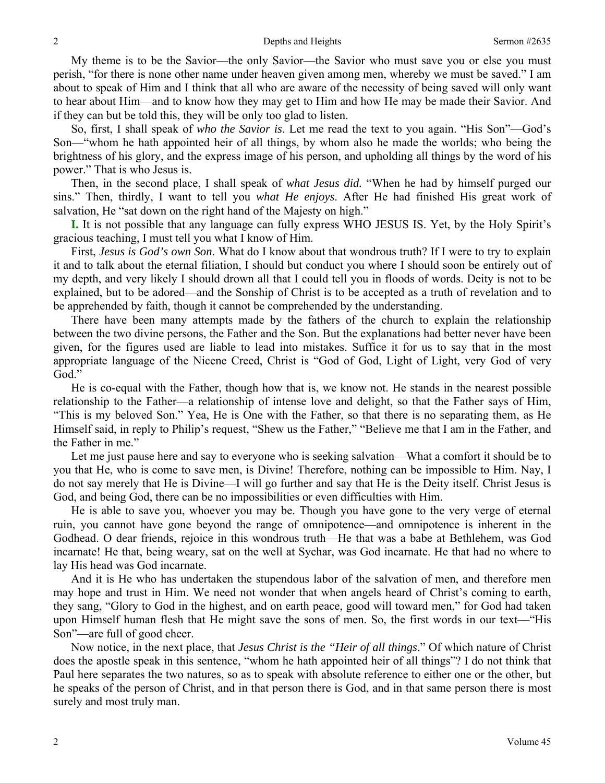My theme is to be the Savior—the only Savior—the Savior who must save you or else you must perish, "for there is none other name under heaven given among men, whereby we must be saved." I am about to speak of Him and I think that all who are aware of the necessity of being saved will only want to hear about Him—and to know how they may get to Him and how He may be made their Savior. And if they can but be told this, they will be only too glad to listen.

 So, first, I shall speak of *who the Savior is*. Let me read the text to you again. "His Son"—God's Son—"whom he hath appointed heir of all things, by whom also he made the worlds; who being the brightness of his glory, and the express image of his person, and upholding all things by the word of his power." That is who Jesus is.

 Then, in the second place, I shall speak of *what Jesus did.* "When he had by himself purged our sins." Then, thirdly, I want to tell you *what He enjoys*. After He had finished His great work of salvation, He "sat down on the right hand of the Majesty on high."

**I.** It is not possible that any language can fully express WHO JESUS IS. Yet, by the Holy Spirit's gracious teaching, I must tell you what I know of Him.

 First, *Jesus is God's own Son*. What do I know about that wondrous truth? If I were to try to explain it and to talk about the eternal filiation, I should but conduct you where I should soon be entirely out of my depth, and very likely I should drown all that I could tell you in floods of words. Deity is not to be explained, but to be adored—and the Sonship of Christ is to be accepted as a truth of revelation and to be apprehended by faith, though it cannot be comprehended by the understanding.

 There have been many attempts made by the fathers of the church to explain the relationship between the two divine persons, the Father and the Son. But the explanations had better never have been given, for the figures used are liable to lead into mistakes. Suffice it for us to say that in the most appropriate language of the Nicene Creed, Christ is "God of God, Light of Light, very God of very God."

 He is co-equal with the Father, though how that is, we know not. He stands in the nearest possible relationship to the Father—a relationship of intense love and delight, so that the Father says of Him, "This is my beloved Son." Yea, He is One with the Father, so that there is no separating them, as He Himself said, in reply to Philip's request, "Shew us the Father," "Believe me that I am in the Father, and the Father in me."

 Let me just pause here and say to everyone who is seeking salvation—What a comfort it should be to you that He, who is come to save men, is Divine! Therefore, nothing can be impossible to Him. Nay, I do not say merely that He is Divine—I will go further and say that He is the Deity itself. Christ Jesus is God, and being God, there can be no impossibilities or even difficulties with Him.

 He is able to save you, whoever you may be. Though you have gone to the very verge of eternal ruin, you cannot have gone beyond the range of omnipotence—and omnipotence is inherent in the Godhead. O dear friends, rejoice in this wondrous truth—He that was a babe at Bethlehem, was God incarnate! He that, being weary, sat on the well at Sychar, was God incarnate. He that had no where to lay His head was God incarnate.

 And it is He who has undertaken the stupendous labor of the salvation of men, and therefore men may hope and trust in Him. We need not wonder that when angels heard of Christ's coming to earth, they sang, "Glory to God in the highest, and on earth peace, good will toward men," for God had taken upon Himself human flesh that He might save the sons of men. So, the first words in our text—"His Son"—are full of good cheer.

 Now notice, in the next place, that *Jesus Christ is the "Heir of all things*." Of which nature of Christ does the apostle speak in this sentence, "whom he hath appointed heir of all things"? I do not think that Paul here separates the two natures, so as to speak with absolute reference to either one or the other, but he speaks of the person of Christ, and in that person there is God, and in that same person there is most surely and most truly man.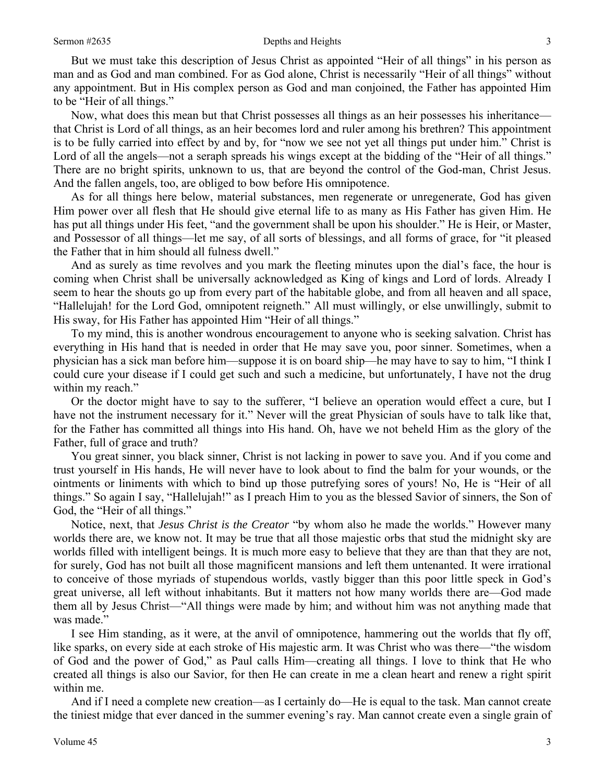But we must take this description of Jesus Christ as appointed "Heir of all things" in his person as man and as God and man combined. For as God alone, Christ is necessarily "Heir of all things" without any appointment. But in His complex person as God and man conjoined, the Father has appointed Him to be "Heir of all things."

 Now, what does this mean but that Christ possesses all things as an heir possesses his inheritance that Christ is Lord of all things, as an heir becomes lord and ruler among his brethren? This appointment is to be fully carried into effect by and by, for "now we see not yet all things put under him." Christ is Lord of all the angels—not a seraph spreads his wings except at the bidding of the "Heir of all things." There are no bright spirits, unknown to us, that are beyond the control of the God-man, Christ Jesus. And the fallen angels, too, are obliged to bow before His omnipotence.

 As for all things here below, material substances, men regenerate or unregenerate, God has given Him power over all flesh that He should give eternal life to as many as His Father has given Him. He has put all things under His feet, "and the government shall be upon his shoulder." He is Heir, or Master, and Possessor of all things—let me say, of all sorts of blessings, and all forms of grace, for "it pleased the Father that in him should all fulness dwell."

 And as surely as time revolves and you mark the fleeting minutes upon the dial's face, the hour is coming when Christ shall be universally acknowledged as King of kings and Lord of lords. Already I seem to hear the shouts go up from every part of the habitable globe, and from all heaven and all space, "Hallelujah! for the Lord God, omnipotent reigneth." All must willingly, or else unwillingly, submit to His sway, for His Father has appointed Him "Heir of all things."

 To my mind, this is another wondrous encouragement to anyone who is seeking salvation. Christ has everything in His hand that is needed in order that He may save you, poor sinner. Sometimes, when a physician has a sick man before him—suppose it is on board ship—he may have to say to him, "I think I could cure your disease if I could get such and such a medicine, but unfortunately, I have not the drug within my reach."

 Or the doctor might have to say to the sufferer, "I believe an operation would effect a cure, but I have not the instrument necessary for it." Never will the great Physician of souls have to talk like that, for the Father has committed all things into His hand. Oh, have we not beheld Him as the glory of the Father, full of grace and truth?

 You great sinner, you black sinner, Christ is not lacking in power to save you. And if you come and trust yourself in His hands, He will never have to look about to find the balm for your wounds, or the ointments or liniments with which to bind up those putrefying sores of yours! No, He is "Heir of all things." So again I say, "Hallelujah!" as I preach Him to you as the blessed Savior of sinners, the Son of God, the "Heir of all things."

 Notice, next, that *Jesus Christ is the Creator* "by whom also he made the worlds." However many worlds there are, we know not. It may be true that all those majestic orbs that stud the midnight sky are worlds filled with intelligent beings. It is much more easy to believe that they are than that they are not, for surely, God has not built all those magnificent mansions and left them untenanted. It were irrational to conceive of those myriads of stupendous worlds, vastly bigger than this poor little speck in God's great universe, all left without inhabitants. But it matters not how many worlds there are—God made them all by Jesus Christ—"All things were made by him; and without him was not anything made that was made."

 I see Him standing, as it were, at the anvil of omnipotence, hammering out the worlds that fly off, like sparks, on every side at each stroke of His majestic arm. It was Christ who was there—"the wisdom of God and the power of God," as Paul calls Him—creating all things. I love to think that He who created all things is also our Savior, for then He can create in me a clean heart and renew a right spirit within me.

 And if I need a complete new creation—as I certainly do—He is equal to the task. Man cannot create the tiniest midge that ever danced in the summer evening's ray. Man cannot create even a single grain of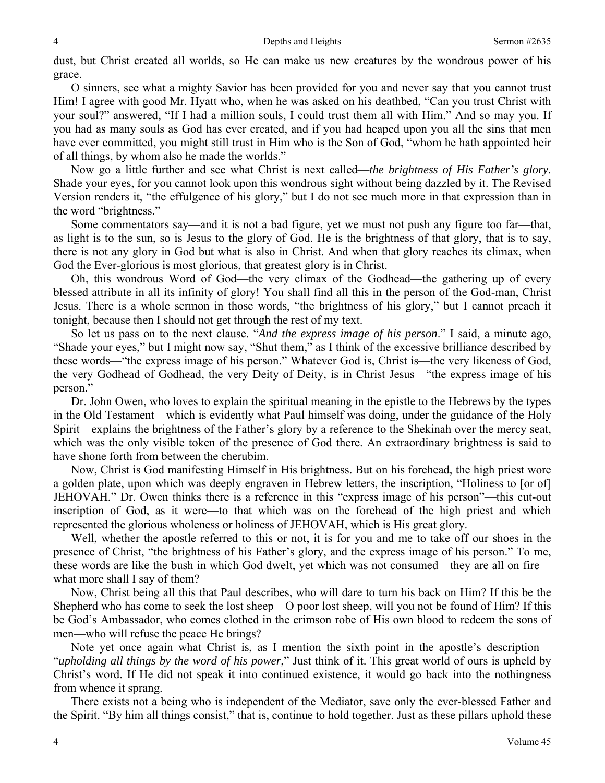dust, but Christ created all worlds, so He can make us new creatures by the wondrous power of his grace.

 O sinners, see what a mighty Savior has been provided for you and never say that you cannot trust Him! I agree with good Mr. Hyatt who, when he was asked on his deathbed, "Can you trust Christ with your soul?" answered, "If I had a million souls, I could trust them all with Him." And so may you. If you had as many souls as God has ever created, and if you had heaped upon you all the sins that men have ever committed, you might still trust in Him who is the Son of God, "whom he hath appointed heir of all things, by whom also he made the worlds."

 Now go a little further and see what Christ is next called—*the brightness of His Father's glory*. Shade your eyes, for you cannot look upon this wondrous sight without being dazzled by it. The Revised Version renders it, "the effulgence of his glory," but I do not see much more in that expression than in the word "brightness."

 Some commentators say—and it is not a bad figure, yet we must not push any figure too far—that, as light is to the sun, so is Jesus to the glory of God. He is the brightness of that glory, that is to say, there is not any glory in God but what is also in Christ. And when that glory reaches its climax, when God the Ever-glorious is most glorious, that greatest glory is in Christ.

 Oh, this wondrous Word of God—the very climax of the Godhead—the gathering up of every blessed attribute in all its infinity of glory! You shall find all this in the person of the God-man, Christ Jesus. There is a whole sermon in those words, "the brightness of his glory," but I cannot preach it tonight, because then I should not get through the rest of my text.

 So let us pass on to the next clause. "*And the express image of his person*." I said, a minute ago, "Shade your eyes," but I might now say, "Shut them," as I think of the excessive brilliance described by these words—"the express image of his person." Whatever God is, Christ is—the very likeness of God, the very Godhead of Godhead, the very Deity of Deity, is in Christ Jesus—"the express image of his person."

 Dr. John Owen, who loves to explain the spiritual meaning in the epistle to the Hebrews by the types in the Old Testament—which is evidently what Paul himself was doing, under the guidance of the Holy Spirit—explains the brightness of the Father's glory by a reference to the Shekinah over the mercy seat, which was the only visible token of the presence of God there. An extraordinary brightness is said to have shone forth from between the cherubim.

 Now, Christ is God manifesting Himself in His brightness. But on his forehead, the high priest wore a golden plate, upon which was deeply engraven in Hebrew letters, the inscription, "Holiness to [or of] JEHOVAH." Dr. Owen thinks there is a reference in this "express image of his person"—this cut-out inscription of God, as it were—to that which was on the forehead of the high priest and which represented the glorious wholeness or holiness of JEHOVAH, which is His great glory.

 Well, whether the apostle referred to this or not, it is for you and me to take off our shoes in the presence of Christ, "the brightness of his Father's glory, and the express image of his person." To me, these words are like the bush in which God dwelt, yet which was not consumed—they are all on fire what more shall I say of them?

 Now, Christ being all this that Paul describes, who will dare to turn his back on Him? If this be the Shepherd who has come to seek the lost sheep—O poor lost sheep, will you not be found of Him? If this be God's Ambassador, who comes clothed in the crimson robe of His own blood to redeem the sons of men—who will refuse the peace He brings?

 Note yet once again what Christ is, as I mention the sixth point in the apostle's description— "*upholding all things by the word of his power*," Just think of it. This great world of ours is upheld by Christ's word. If He did not speak it into continued existence, it would go back into the nothingness from whence it sprang.

 There exists not a being who is independent of the Mediator, save only the ever-blessed Father and the Spirit. "By him all things consist," that is, continue to hold together. Just as these pillars uphold these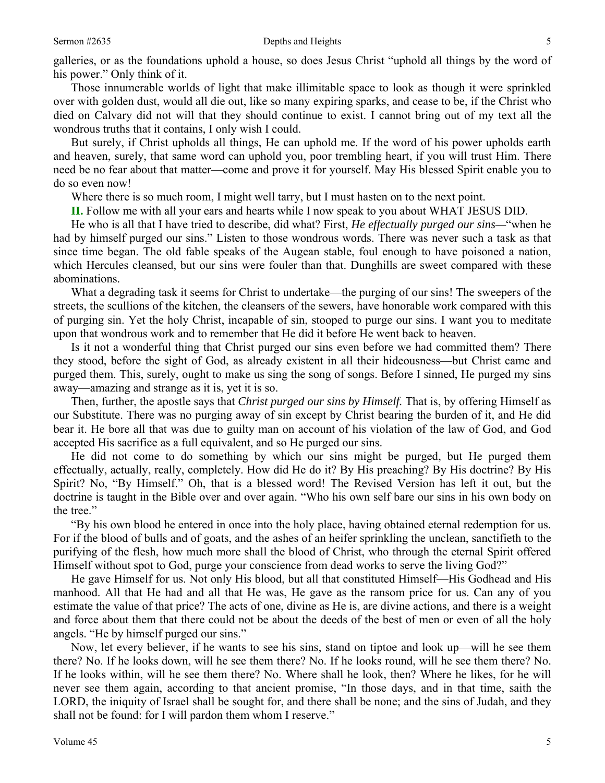galleries, or as the foundations uphold a house, so does Jesus Christ "uphold all things by the word of his power." Only think of it.

 Those innumerable worlds of light that make illimitable space to look as though it were sprinkled over with golden dust, would all die out, like so many expiring sparks, and cease to be, if the Christ who died on Calvary did not will that they should continue to exist. I cannot bring out of my text all the wondrous truths that it contains, I only wish I could.

 But surely, if Christ upholds all things, He can uphold me. If the word of his power upholds earth and heaven, surely, that same word can uphold you, poor trembling heart, if you will trust Him. There need be no fear about that matter—come and prove it for yourself. May His blessed Spirit enable you to do so even now!

Where there is so much room, I might well tarry, but I must hasten on to the next point.

**II.** Follow me with all your ears and hearts while I now speak to you about WHAT JESUS DID.

 He who is all that I have tried to describe, did what? First, *He effectually purged our sins—*"when he had by himself purged our sins." Listen to those wondrous words. There was never such a task as that since time began. The old fable speaks of the Augean stable, foul enough to have poisoned a nation, which Hercules cleansed, but our sins were fouler than that. Dunghills are sweet compared with these abominations.

 What a degrading task it seems for Christ to undertake—the purging of our sins! The sweepers of the streets, the scullions of the kitchen, the cleansers of the sewers, have honorable work compared with this of purging sin. Yet the holy Christ, incapable of sin, stooped to purge our sins. I want you to meditate upon that wondrous work and to remember that He did it before He went back to heaven.

 Is it not a wonderful thing that Christ purged our sins even before we had committed them? There they stood, before the sight of God, as already existent in all their hideousness—but Christ came and purged them. This, surely, ought to make us sing the song of songs. Before I sinned, He purged my sins away—amazing and strange as it is, yet it is so.

 Then, further, the apostle says that *Christ purged our sins by Himself.* That is, by offering Himself as our Substitute. There was no purging away of sin except by Christ bearing the burden of it, and He did bear it. He bore all that was due to guilty man on account of his violation of the law of God, and God accepted His sacrifice as a full equivalent, and so He purged our sins.

 He did not come to do something by which our sins might be purged, but He purged them effectually, actually, really, completely. How did He do it? By His preaching? By His doctrine? By His Spirit? No, "By Himself." Oh, that is a blessed word! The Revised Version has left it out, but the doctrine is taught in the Bible over and over again. "Who his own self bare our sins in his own body on the tree."

 "By his own blood he entered in once into the holy place, having obtained eternal redemption for us. For if the blood of bulls and of goats, and the ashes of an heifer sprinkling the unclean, sanctifieth to the purifying of the flesh, how much more shall the blood of Christ, who through the eternal Spirit offered Himself without spot to God, purge your conscience from dead works to serve the living God?"

 He gave Himself for us. Not only His blood, but all that constituted Himself—His Godhead and His manhood. All that He had and all that He was, He gave as the ransom price for us. Can any of you estimate the value of that price? The acts of one, divine as He is, are divine actions, and there is a weight and force about them that there could not be about the deeds of the best of men or even of all the holy angels. "He by himself purged our sins."

 Now, let every believer, if he wants to see his sins, stand on tiptoe and look up—will he see them there? No. If he looks down, will he see them there? No. If he looks round, will he see them there? No. If he looks within, will he see them there? No. Where shall he look, then? Where he likes, for he will never see them again, according to that ancient promise, "In those days, and in that time, saith the LORD, the iniquity of Israel shall be sought for, and there shall be none; and the sins of Judah, and they shall not be found: for I will pardon them whom I reserve."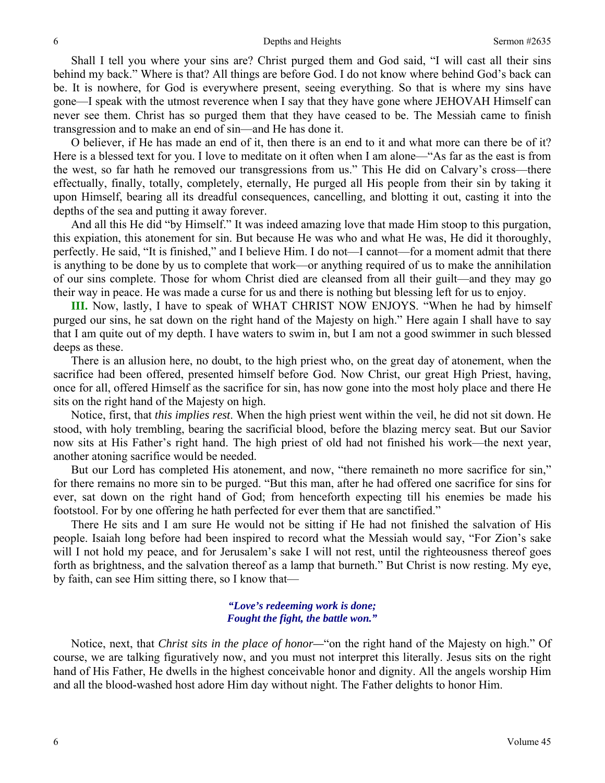Shall I tell you where your sins are? Christ purged them and God said, "I will cast all their sins behind my back." Where is that? All things are before God. I do not know where behind God's back can be. It is nowhere, for God is everywhere present, seeing everything. So that is where my sins have gone—I speak with the utmost reverence when I say that they have gone where JEHOVAH Himself can never see them. Christ has so purged them that they have ceased to be. The Messiah came to finish transgression and to make an end of sin—and He has done it.

 O believer, if He has made an end of it, then there is an end to it and what more can there be of it? Here is a blessed text for you. I love to meditate on it often when I am alone—"As far as the east is from the west, so far hath he removed our transgressions from us." This He did on Calvary's cross—there effectually, finally, totally, completely, eternally, He purged all His people from their sin by taking it upon Himself, bearing all its dreadful consequences, cancelling, and blotting it out, casting it into the depths of the sea and putting it away forever.

 And all this He did "by Himself." It was indeed amazing love that made Him stoop to this purgation, this expiation, this atonement for sin. But because He was who and what He was, He did it thoroughly, perfectly. He said, "It is finished," and I believe Him. I do not—I cannot—for a moment admit that there is anything to be done by us to complete that work—or anything required of us to make the annihilation of our sins complete. Those for whom Christ died are cleansed from all their guilt—and they may go their way in peace. He was made a curse for us and there is nothing but blessing left for us to enjoy.

**III.** Now, lastly, I have to speak of WHAT CHRIST NOW ENJOYS. "When he had by himself purged our sins, he sat down on the right hand of the Majesty on high." Here again I shall have to say that I am quite out of my depth. I have waters to swim in, but I am not a good swimmer in such blessed deeps as these.

 There is an allusion here, no doubt, to the high priest who, on the great day of atonement, when the sacrifice had been offered, presented himself before God. Now Christ, our great High Priest, having, once for all, offered Himself as the sacrifice for sin, has now gone into the most holy place and there He sits on the right hand of the Majesty on high.

 Notice, first, that *this implies rest*. When the high priest went within the veil, he did not sit down. He stood, with holy trembling, bearing the sacrificial blood, before the blazing mercy seat. But our Savior now sits at His Father's right hand. The high priest of old had not finished his work—the next year, another atoning sacrifice would be needed.

 But our Lord has completed His atonement, and now, "there remaineth no more sacrifice for sin," for there remains no more sin to be purged. "But this man, after he had offered one sacrifice for sins for ever, sat down on the right hand of God; from henceforth expecting till his enemies be made his footstool. For by one offering he hath perfected for ever them that are sanctified."

 There He sits and I am sure He would not be sitting if He had not finished the salvation of His people. Isaiah long before had been inspired to record what the Messiah would say, "For Zion's sake will I not hold my peace, and for Jerusalem's sake I will not rest, until the righteousness thereof goes forth as brightness, and the salvation thereof as a lamp that burneth." But Christ is now resting. My eye, by faith, can see Him sitting there, so I know that—

#### *"Love's redeeming work is done; Fought the fight, the battle won."*

Notice, next, that *Christ sits in the place of honor—*"on the right hand of the Majesty on high." Of course, we are talking figuratively now, and you must not interpret this literally. Jesus sits on the right hand of His Father, He dwells in the highest conceivable honor and dignity. All the angels worship Him and all the blood-washed host adore Him day without night. The Father delights to honor Him.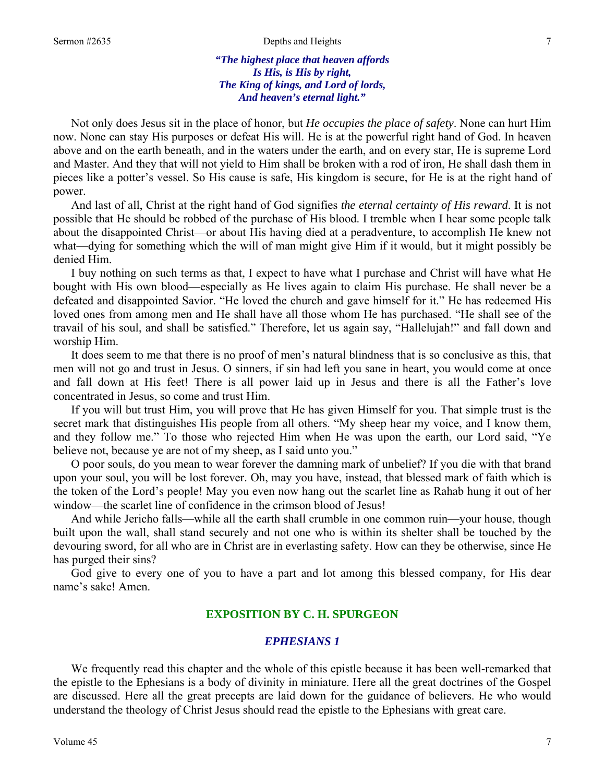#### Sermon #2635 **Depths and Heights** 7

#### *"The highest place that heaven affords Is His, is His by right, The King of kings, and Lord of lords, And heaven's eternal light."*

Not only does Jesus sit in the place of honor, but *He occupies the place of safety*. None can hurt Him now. None can stay His purposes or defeat His will. He is at the powerful right hand of God. In heaven above and on the earth beneath, and in the waters under the earth, and on every star, He is supreme Lord and Master. And they that will not yield to Him shall be broken with a rod of iron, He shall dash them in pieces like a potter's vessel. So His cause is safe, His kingdom is secure, for He is at the right hand of power.

 And last of all, Christ at the right hand of God signifies *the eternal certainty of His reward*. It is not possible that He should be robbed of the purchase of His blood. I tremble when I hear some people talk about the disappointed Christ—or about His having died at a peradventure, to accomplish He knew not what—dying for something which the will of man might give Him if it would, but it might possibly be denied Him.

 I buy nothing on such terms as that, I expect to have what I purchase and Christ will have what He bought with His own blood—especially as He lives again to claim His purchase. He shall never be a defeated and disappointed Savior. "He loved the church and gave himself for it." He has redeemed His loved ones from among men and He shall have all those whom He has purchased. "He shall see of the travail of his soul, and shall be satisfied." Therefore, let us again say, "Hallelujah!" and fall down and worship Him.

 It does seem to me that there is no proof of men's natural blindness that is so conclusive as this, that men will not go and trust in Jesus. O sinners, if sin had left you sane in heart, you would come at once and fall down at His feet! There is all power laid up in Jesus and there is all the Father's love concentrated in Jesus, so come and trust Him.

 If you will but trust Him, you will prove that He has given Himself for you. That simple trust is the secret mark that distinguishes His people from all others. "My sheep hear my voice, and I know them, and they follow me." To those who rejected Him when He was upon the earth, our Lord said, "Ye believe not, because ye are not of my sheep, as I said unto you."

 O poor souls, do you mean to wear forever the damning mark of unbelief? If you die with that brand upon your soul, you will be lost forever. Oh, may you have, instead, that blessed mark of faith which is the token of the Lord's people! May you even now hang out the scarlet line as Rahab hung it out of her window—the scarlet line of confidence in the crimson blood of Jesus!

 And while Jericho falls—while all the earth shall crumble in one common ruin—your house, though built upon the wall, shall stand securely and not one who is within its shelter shall be touched by the devouring sword, for all who are in Christ are in everlasting safety. How can they be otherwise, since He has purged their sins?

 God give to every one of you to have a part and lot among this blessed company, for His dear name's sake! Amen.

#### **EXPOSITION BY C. H. SPURGEON**

### *EPHESIANS 1*

 We frequently read this chapter and the whole of this epistle because it has been well-remarked that the epistle to the Ephesians is a body of divinity in miniature. Here all the great doctrines of the Gospel are discussed. Here all the great precepts are laid down for the guidance of believers. He who would understand the theology of Christ Jesus should read the epistle to the Ephesians with great care.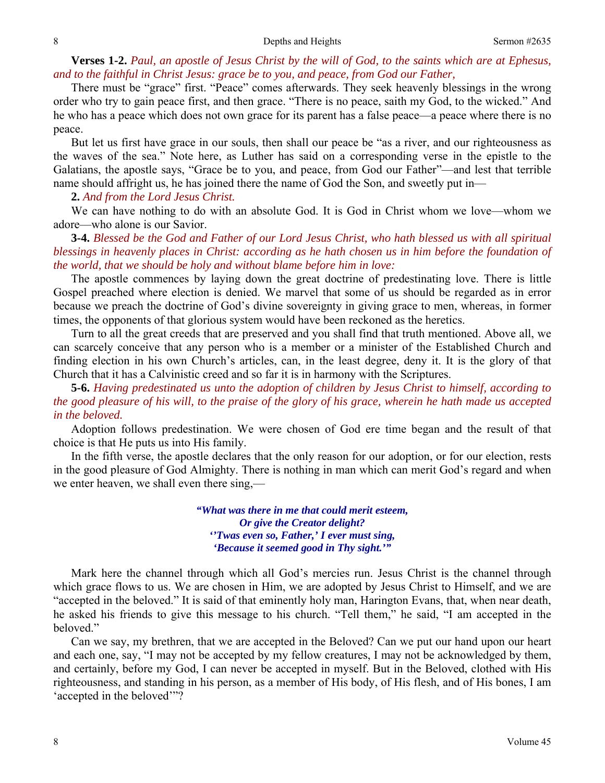**Verses 1-2.** *Paul, an apostle of Jesus Christ by the will of God, to the saints which are at Ephesus, and to the faithful in Christ Jesus: grace be to you, and peace, from God our Father,* 

There must be "grace" first. "Peace" comes afterwards. They seek heavenly blessings in the wrong order who try to gain peace first, and then grace. "There is no peace, saith my God, to the wicked." And he who has a peace which does not own grace for its parent has a false peace—a peace where there is no peace.

 But let us first have grace in our souls, then shall our peace be "as a river, and our righteousness as the waves of the sea." Note here, as Luther has said on a corresponding verse in the epistle to the Galatians, the apostle says, "Grace be to you, and peace, from God our Father"—and lest that terrible name should affright us, he has joined there the name of God the Son, and sweetly put in—

**2.** *And from the Lord Jesus Christ.* 

We can have nothing to do with an absolute God. It is God in Christ whom we love—whom we adore—who alone is our Savior.

**3-4.** *Blessed be the God and Father of our Lord Jesus Christ, who hath blessed us with all spiritual blessings in heavenly places in Christ: according as he hath chosen us in him before the foundation of the world, that we should be holy and without blame before him in love:* 

The apostle commences by laying down the great doctrine of predestinating love. There is little Gospel preached where election is denied. We marvel that some of us should be regarded as in error because we preach the doctrine of God's divine sovereignty in giving grace to men, whereas, in former times, the opponents of that glorious system would have been reckoned as the heretics.

 Turn to all the great creeds that are preserved and you shall find that truth mentioned. Above all, we can scarcely conceive that any person who is a member or a minister of the Established Church and finding election in his own Church's articles, can, in the least degree, deny it. It is the glory of that Church that it has a Calvinistic creed and so far it is in harmony with the Scriptures.

**5-6.** *Having predestinated us unto the adoption of children by Jesus Christ to himself, according to the good pleasure of his will, to the praise of the glory of his grace, wherein he hath made us accepted in the beloved.* 

Adoption follows predestination. We were chosen of God ere time began and the result of that choice is that He puts us into His family.

 In the fifth verse, the apostle declares that the only reason for our adoption, or for our election, rests in the good pleasure of God Almighty. There is nothing in man which can merit God's regard and when we enter heaven, we shall even there sing,—

> *"What was there in me that could merit esteem, Or give the Creator delight? ''Twas even so, Father,' I ever must sing, 'Because it seemed good in Thy sight.'"*

 Mark here the channel through which all God's mercies run. Jesus Christ is the channel through which grace flows to us. We are chosen in Him, we are adopted by Jesus Christ to Himself, and we are "accepted in the beloved." It is said of that eminently holy man, Harington Evans, that, when near death, he asked his friends to give this message to his church. "Tell them," he said, "I am accepted in the beloved."

 Can we say, my brethren, that we are accepted in the Beloved? Can we put our hand upon our heart and each one, say, "I may not be accepted by my fellow creatures, I may not be acknowledged by them, and certainly, before my God, I can never be accepted in myself. But in the Beloved, clothed with His righteousness, and standing in his person, as a member of His body, of His flesh, and of His bones, I am 'accepted in the beloved'"?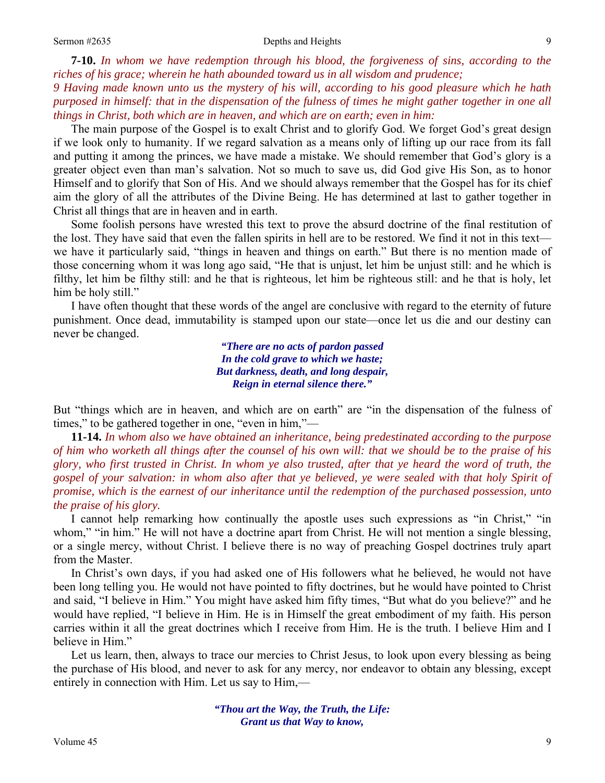**7-10.** *In whom we have redemption through his blood, the forgiveness of sins, according to the riches of his grace; wherein he hath abounded toward us in all wisdom and prudence;* 

*9 Having made known unto us the mystery of his will, according to his good pleasure which he hath purposed in himself: that in the dispensation of the fulness of times he might gather together in one all things in Christ, both which are in heaven, and which are on earth; even in him:* 

The main purpose of the Gospel is to exalt Christ and to glorify God. We forget God's great design if we look only to humanity. If we regard salvation as a means only of lifting up our race from its fall and putting it among the princes, we have made a mistake. We should remember that God's glory is a greater object even than man's salvation. Not so much to save us, did God give His Son, as to honor Himself and to glorify that Son of His. And we should always remember that the Gospel has for its chief aim the glory of all the attributes of the Divine Being. He has determined at last to gather together in Christ all things that are in heaven and in earth.

 Some foolish persons have wrested this text to prove the absurd doctrine of the final restitution of the lost. They have said that even the fallen spirits in hell are to be restored. We find it not in this text we have it particularly said, "things in heaven and things on earth." But there is no mention made of those concerning whom it was long ago said, "He that is unjust, let him be unjust still: and he which is filthy, let him be filthy still: and he that is righteous, let him be righteous still: and he that is holy, let him be holy still."

 I have often thought that these words of the angel are conclusive with regard to the eternity of future punishment. Once dead, immutability is stamped upon our state—once let us die and our destiny can never be changed.

> *"There are no acts of pardon passed In the cold grave to which we haste; But darkness, death, and long despair, Reign in eternal silence there."*

But "things which are in heaven, and which are on earth" are "in the dispensation of the fulness of times," to be gathered together in one, "even in him,"—

**11-14.** *In whom also we have obtained an inheritance, being predestinated according to the purpose of him who worketh all things after the counsel of his own will: that we should be to the praise of his glory, who first trusted in Christ. In whom ye also trusted, after that ye heard the word of truth, the gospel of your salvation: in whom also after that ye believed, ye were sealed with that holy Spirit of promise, which is the earnest of our inheritance until the redemption of the purchased possession, unto the praise of his glory.* 

I cannot help remarking how continually the apostle uses such expressions as "in Christ," "in whom," "in him." He will not have a doctrine apart from Christ. He will not mention a single blessing, or a single mercy, without Christ. I believe there is no way of preaching Gospel doctrines truly apart from the Master.

 In Christ's own days, if you had asked one of His followers what he believed, he would not have been long telling you. He would not have pointed to fifty doctrines, but he would have pointed to Christ and said, "I believe in Him." You might have asked him fifty times, "But what do you believe?" and he would have replied, "I believe in Him. He is in Himself the great embodiment of my faith. His person carries within it all the great doctrines which I receive from Him. He is the truth. I believe Him and I believe in Him."

Let us learn, then, always to trace our mercies to Christ Jesus, to look upon every blessing as being the purchase of His blood, and never to ask for any mercy, nor endeavor to obtain any blessing, except entirely in connection with Him. Let us say to Him,—

> *"Thou art the Way, the Truth, the Life: Grant us that Way to know,*